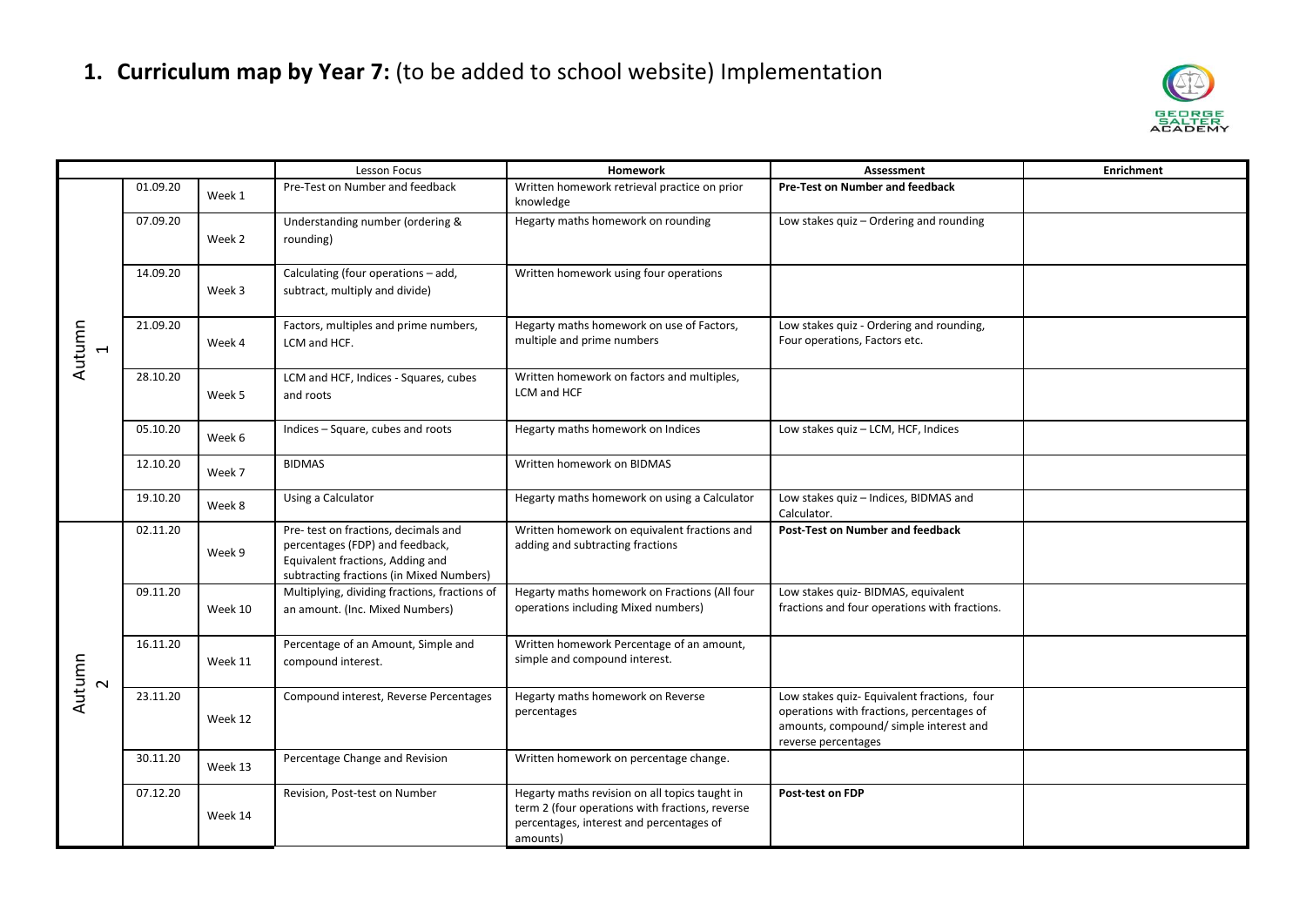

|                                 |          |         | <b>Lesson Focus</b>                                                                                                                                     | <b>Homework</b>                                                                                                                                           | Assessment                                                                                                                                               | <b>Enrichment</b> |
|---------------------------------|----------|---------|---------------------------------------------------------------------------------------------------------------------------------------------------------|-----------------------------------------------------------------------------------------------------------------------------------------------------------|----------------------------------------------------------------------------------------------------------------------------------------------------------|-------------------|
| Autumn<br>$\mathbf{\mathbf{H}}$ | 01.09.20 | Week 1  | Pre-Test on Number and feedback                                                                                                                         | Written homework retrieval practice on prior<br>knowledge                                                                                                 | Pre-Test on Number and feedback                                                                                                                          |                   |
|                                 | 07.09.20 | Week 2  | Understanding number (ordering &<br>rounding)                                                                                                           | Hegarty maths homework on rounding                                                                                                                        | Low stakes quiz - Ordering and rounding                                                                                                                  |                   |
|                                 | 14.09.20 | Week 3  | Calculating (four operations - add,<br>subtract, multiply and divide)                                                                                   | Written homework using four operations                                                                                                                    |                                                                                                                                                          |                   |
|                                 | 21.09.20 | Week 4  | Factors, multiples and prime numbers,<br>LCM and HCF.                                                                                                   | Hegarty maths homework on use of Factors,<br>multiple and prime numbers                                                                                   | Low stakes quiz - Ordering and rounding,<br>Four operations, Factors etc.                                                                                |                   |
|                                 | 28.10.20 | Week 5  | LCM and HCF, Indices - Squares, cubes<br>and roots                                                                                                      | Written homework on factors and multiples,<br>LCM and HCF                                                                                                 |                                                                                                                                                          |                   |
|                                 | 05.10.20 | Week 6  | Indices - Square, cubes and roots                                                                                                                       | Hegarty maths homework on Indices                                                                                                                         | Low stakes quiz - LCM, HCF, Indices                                                                                                                      |                   |
|                                 | 12.10.20 | Week 7  | <b>BIDMAS</b>                                                                                                                                           | Written homework on BIDMAS                                                                                                                                |                                                                                                                                                          |                   |
|                                 | 19.10.20 | Week 8  | Using a Calculator                                                                                                                                      | Hegarty maths homework on using a Calculator                                                                                                              | Low stakes quiz - Indices, BIDMAS and<br>Calculator.                                                                                                     |                   |
| Autumn<br>$\sim$                | 02.11.20 | Week 9  | Pre- test on fractions, decimals and<br>percentages (FDP) and feedback,<br>Equivalent fractions, Adding and<br>subtracting fractions (in Mixed Numbers) | Written homework on equivalent fractions and<br>adding and subtracting fractions                                                                          | <b>Post-Test on Number and feedback</b>                                                                                                                  |                   |
|                                 | 09.11.20 | Week 10 | Multiplying, dividing fractions, fractions of<br>an amount. (Inc. Mixed Numbers)                                                                        | Hegarty maths homework on Fractions (All four<br>operations including Mixed numbers)                                                                      | Low stakes quiz- BIDMAS, equivalent<br>fractions and four operations with fractions.                                                                     |                   |
|                                 | 16.11.20 | Week 11 | Percentage of an Amount, Simple and<br>compound interest.                                                                                               | Written homework Percentage of an amount,<br>simple and compound interest.                                                                                |                                                                                                                                                          |                   |
|                                 | 23.11.20 | Week 12 | Compound interest, Reverse Percentages                                                                                                                  | Hegarty maths homework on Reverse<br>percentages                                                                                                          | Low stakes quiz- Equivalent fractions, four<br>operations with fractions, percentages of<br>amounts, compound/simple interest and<br>reverse percentages |                   |
|                                 | 30.11.20 | Week 13 | Percentage Change and Revision                                                                                                                          | Written homework on percentage change.                                                                                                                    |                                                                                                                                                          |                   |
|                                 | 07.12.20 | Week 14 | Revision, Post-test on Number                                                                                                                           | Hegarty maths revision on all topics taught in<br>term 2 (four operations with fractions, reverse<br>percentages, interest and percentages of<br>amounts) | Post-test on FDP                                                                                                                                         |                   |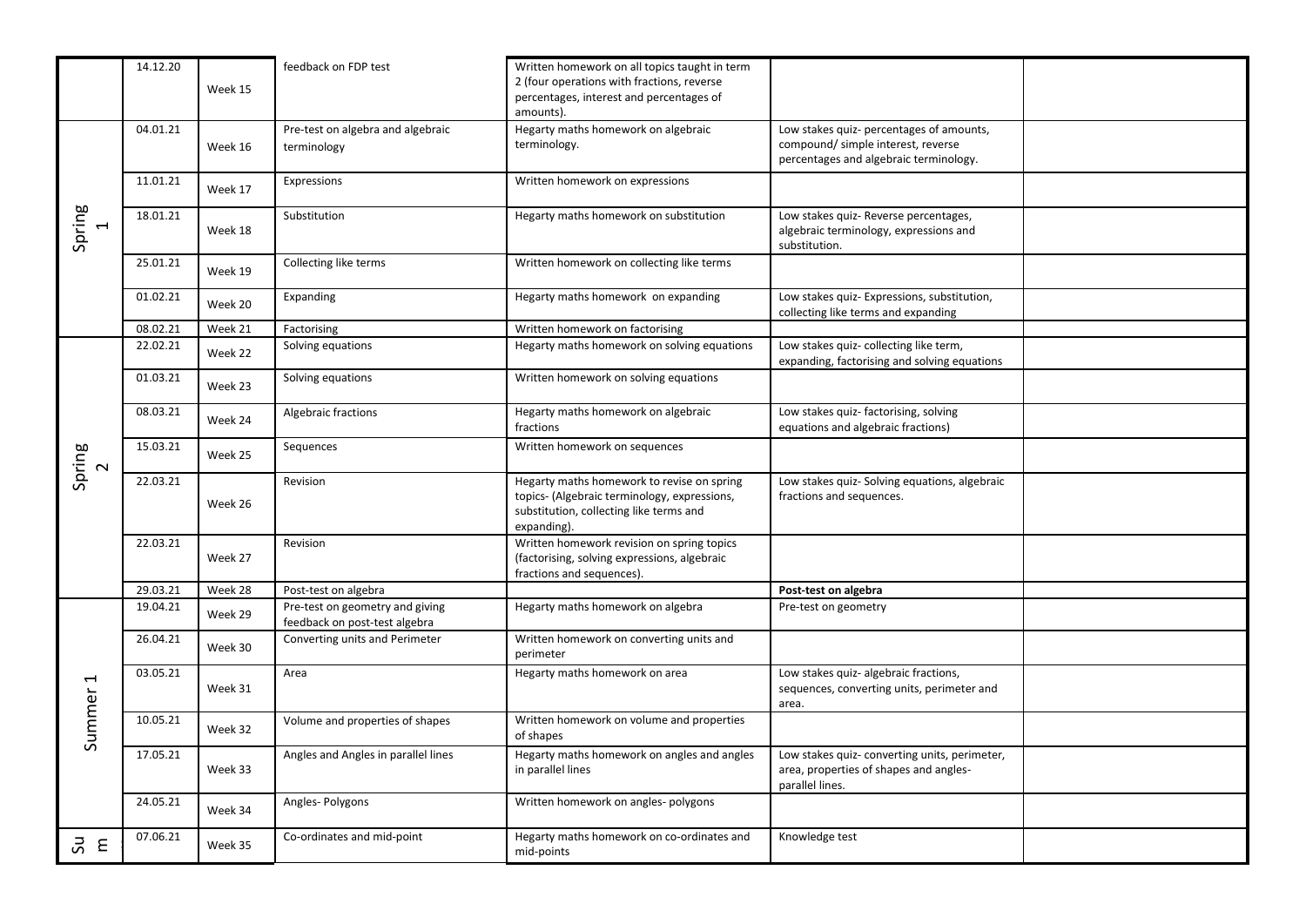|                                    | 14.12.20 |         | feedback on FDP test                                             | Written homework on all topics taught in term<br>2 (four operations with fractions, reverse                                                          |                                                                                                                         |  |
|------------------------------------|----------|---------|------------------------------------------------------------------|------------------------------------------------------------------------------------------------------------------------------------------------------|-------------------------------------------------------------------------------------------------------------------------|--|
|                                    |          | Week 15 |                                                                  | percentages, interest and percentages of<br>amounts).                                                                                                |                                                                                                                         |  |
| Spring<br>$\overline{\phantom{0}}$ | 04.01.21 | Week 16 | Pre-test on algebra and algebraic<br>terminology                 | Hegarty maths homework on algebraic<br>terminology.                                                                                                  | Low stakes quiz- percentages of amounts,<br>compound/simple interest, reverse<br>percentages and algebraic terminology. |  |
|                                    | 11.01.21 | Week 17 | Expressions                                                      | Written homework on expressions                                                                                                                      |                                                                                                                         |  |
|                                    | 18.01.21 | Week 18 | Substitution                                                     | Hegarty maths homework on substitution                                                                                                               | Low stakes quiz- Reverse percentages,<br>algebraic terminology, expressions and<br>substitution.                        |  |
|                                    | 25.01.21 | Week 19 | Collecting like terms                                            | Written homework on collecting like terms                                                                                                            |                                                                                                                         |  |
|                                    | 01.02.21 | Week 20 | Expanding                                                        | Hegarty maths homework on expanding                                                                                                                  | Low stakes quiz- Expressions, substitution,<br>collecting like terms and expanding                                      |  |
|                                    | 08.02.21 | Week 21 | Factorising                                                      | Written homework on factorising                                                                                                                      |                                                                                                                         |  |
|                                    | 22.02.21 | Week 22 | Solving equations                                                | Hegarty maths homework on solving equations                                                                                                          | Low stakes quiz- collecting like term,<br>expanding, factorising and solving equations                                  |  |
|                                    | 01.03.21 | Week 23 | Solving equations                                                | Written homework on solving equations                                                                                                                |                                                                                                                         |  |
|                                    | 08.03.21 | Week 24 | Algebraic fractions                                              | Hegarty maths homework on algebraic<br>fractions                                                                                                     | Low stakes quiz- factorising, solving<br>equations and algebraic fractions)                                             |  |
| Spring<br>$\sim$                   | 15.03.21 | Week 25 | Sequences                                                        | Written homework on sequences                                                                                                                        |                                                                                                                         |  |
|                                    | 22.03.21 | Week 26 | Revision                                                         | Hegarty maths homework to revise on spring<br>topics- (Algebraic terminology, expressions,<br>substitution, collecting like terms and<br>expanding). | Low stakes quiz- Solving equations, algebraic<br>fractions and sequences.                                               |  |
|                                    | 22.03.21 | Week 27 | Revision                                                         | Written homework revision on spring topics<br>(factorising, solving expressions, algebraic<br>fractions and sequences).                              |                                                                                                                         |  |
|                                    | 29.03.21 | Week 28 | Post-test on algebra                                             |                                                                                                                                                      | Post-test on algebra                                                                                                    |  |
|                                    | 19.04.21 | Week 29 | Pre-test on geometry and giving<br>feedback on post-test algebra | Hegarty maths homework on algebra                                                                                                                    | Pre-test on geometry                                                                                                    |  |
|                                    | 26.04.21 | Week 30 | Converting units and Perimeter                                   | Written homework on converting units and<br>perimeter                                                                                                |                                                                                                                         |  |
| $\overline{\phantom{0}}$<br>Summer | 03.05.21 | Week 31 | Area                                                             | Hegarty maths homework on area                                                                                                                       | Low stakes quiz- algebraic fractions,<br>sequences, converting units, perimeter and<br>area.                            |  |
|                                    | 10.05.21 | Week 32 | Volume and properties of shapes                                  | Written homework on volume and properties<br>of shapes                                                                                               |                                                                                                                         |  |
|                                    | 17.05.21 | Week 33 | Angles and Angles in parallel lines                              | Hegarty maths homework on angles and angles<br>in parallel lines                                                                                     | Low stakes quiz- converting units, perimeter,<br>area, properties of shapes and angles-<br>parallel lines.              |  |
|                                    | 24.05.21 | Week 34 | Angles-Polygons                                                  | Written homework on angles- polygons                                                                                                                 |                                                                                                                         |  |
| $\overline{5}$ $\overline{5}$      | 07.06.21 | Week 35 | Co-ordinates and mid-point                                       | Hegarty maths homework on co-ordinates and<br>mid-points                                                                                             | Knowledge test                                                                                                          |  |